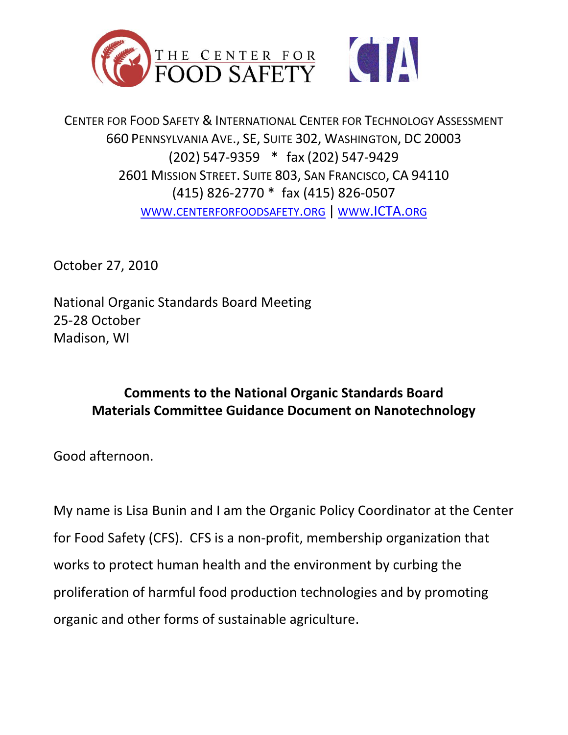



CENTER FOR FOOD SAFETY & INTERNATIONAL CENTER FOR TECHNOLOGY ASSESSMENT 660 PENNSYLVANIA AVE., SE, SUITE 302, WASHINGTON, DC 20003 (202) 547-9359 \* fax (202) 547-9429 2601 MISSION STREET. SUITE 803, SAN FRANCISCO, CA 94110 (415) 826-2770 \* fax (415) 826-0507 WWW.[CENTERFORFOODSAFETY](http://www.centerforfoodsafety.org/).ORG | WWW[.ICTA.](http://www.icta.org/)ORG

October 27, 2010

National Organic Standards Board Meeting 25-28 October Madison, WI

## **Comments to the National Organic Standards Board Materials Committee Guidance Document on Nanotechnology**

Good afternoon.

My name is Lisa Bunin and I am the Organic Policy Coordinator at the Center for Food Safety (CFS). CFS is a non-profit, membership organization that works to protect human health and the environment by curbing the proliferation of harmful food production technologies and by promoting organic and other forms of sustainable agriculture.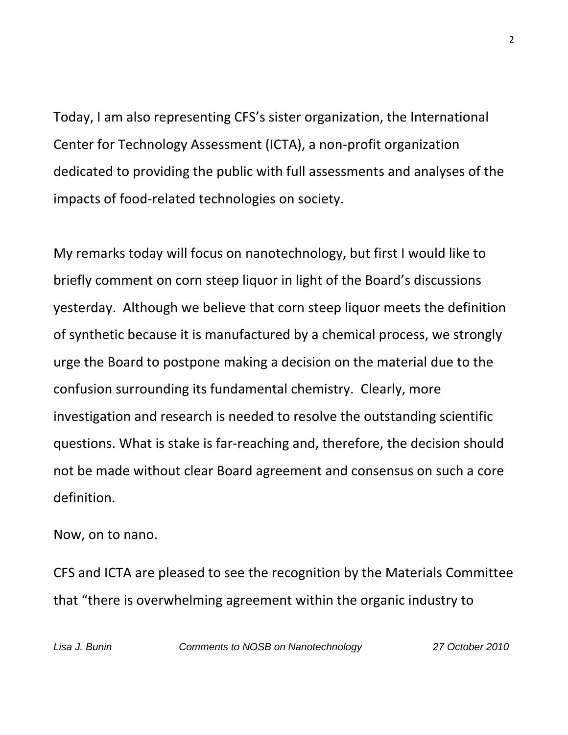Today, I am also representing CFS's sister organization, the International Center for Technology Assessment (ICTA), a non-profit organization dedicated to providing the public with full assessments and analyses of the impacts of food-related technologies on society.

My remarks today will focus on nanotechnology, but first I would like to briefly comment on corn steep liquor in light of the Board's discussions yesterday. Although we believe that corn steep liquor meets the definition of synthetic because it is manufactured by a chemical process, we strongly urge the Board to postpone making a decision on the material due to the confusion surrounding its fundamental chemistry. Clearly, more investigation and research is needed to resolve the outstanding scientific questions. What is stake is far-reaching and, therefore, the decision should not be made without clear Board agreement and consensus on such a core definition.

Now, on to nano.

CFS and ICTA are pleased to see the recognition by the Materials Committee that "there is overwhelming agreement within the organic industry to

*Lisa J. Bunin Comments to NOSB on Nanotechnology 27 October 2010*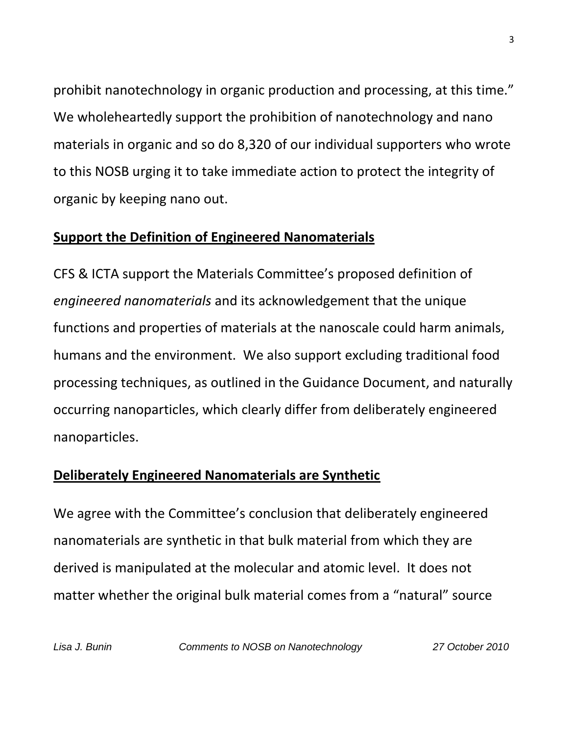prohibit nanotechnology in organic production and processing, at this time." We wholeheartedly support the prohibition of nanotechnology and nano materials in organic and so do 8,320 of our individual supporters who wrote to this NOSB urging it to take immediate action to protect the integrity of organic by keeping nano out.

#### **Support the Definition of Engineered Nanomaterials**

CFS & ICTA support the Materials Committee's proposed definition of *engineered nanomaterials* and its acknowledgement that the unique functions and properties of materials at the nanoscale could harm animals, humans and the environment.We also support excluding traditional food processing techniques, as outlined in the Guidance Document, and naturally occurring nanoparticles, which clearly differ from deliberately engineered nanoparticles.

## **Deliberately Engineered Nanomaterials are Synthetic**

We agree with the Committee's conclusion that deliberately engineered nanomaterials are synthetic in that bulk material from which they are derived is manipulated at the molecular and atomic level. It does not matter whether the original bulk material comes from a "natural" source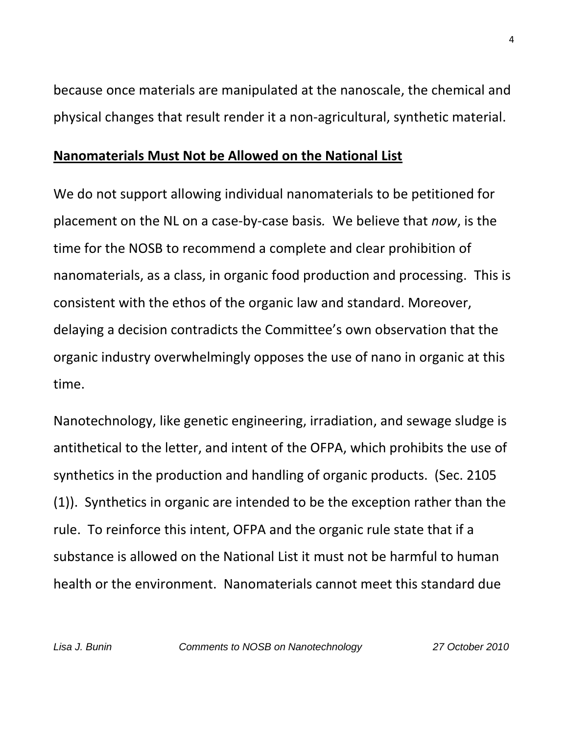because once materials are manipulated at the nanoscale, the chemical and physical changes that result render it a non-agricultural, synthetic material.

#### **Nanomaterials Must Not be Allowed on the National List**

We do not support allowing individual nanomaterials to be petitioned for placement on the NL on a case-by-case basis*.* We believe that *now*, is the time for the NOSB to recommend a complete and clear prohibition of nanomaterials, as a class, in organic food production and processing. This is consistent with the ethos of the organic law and standard. Moreover, delaying a decision contradicts the Committee's own observation that the organic industry overwhelmingly opposes the use of nano in organic at this time.

Nanotechnology, like genetic engineering, irradiation, and sewage sludge is antithetical to the letter, and intent of the OFPA, which prohibits the use of synthetics in the production and handling of organic products. (Sec. 2105 (1)). Synthetics in organic are intended to be the exception rather than the rule. To reinforce this intent, OFPA and the organic rule state that if a substance is allowed on the National List it must not be harmful to human health or the environment. Nanomaterials cannot meet this standard due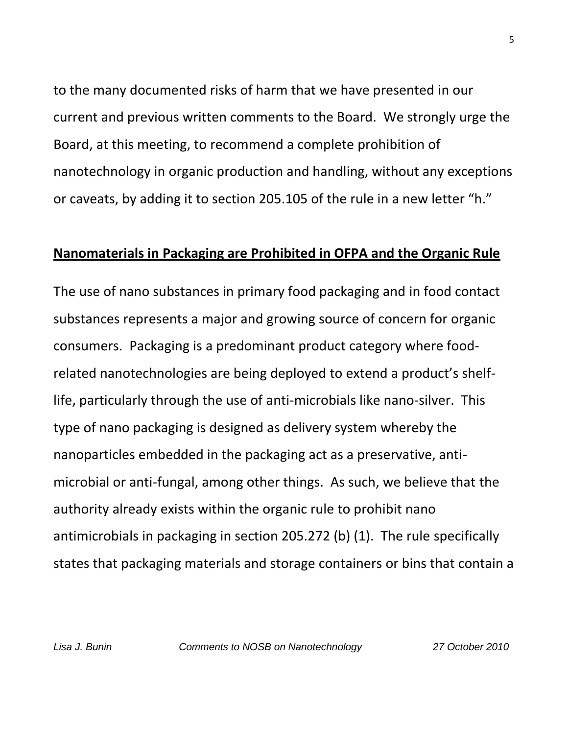to the many documented risks of harm that we have presented in our current and previous written comments to the Board. We strongly urge the Board, at this meeting, to recommend a complete prohibition of nanotechnology in organic production and handling, without any exceptions or caveats, by adding it to section 205.105 of the rule in a new letter "h."

#### **Nanomaterials in Packaging are Prohibited in OFPA and the Organic Rule**

The use of nano substances in primary food packaging and in food contact substances represents a major and growing source of concern for organic consumers. Packaging is a predominant product category where foodrelated nanotechnologies are being deployed to extend a product's shelflife, particularly through the use of anti-microbials like nano-silver. This type of nano packaging is designed as delivery system whereby the nanoparticles embedded in the packaging act as a preservative, antimicrobial or anti-fungal, among other things. As such, we believe that the authority already exists within the organic rule to prohibit nano antimicrobials in packaging in section 205.272 (b) (1). The rule specifically states that packaging materials and storage containers or bins that contain a

*Lisa J. Bunin Comments to NOSB on Nanotechnology 27 October 2010*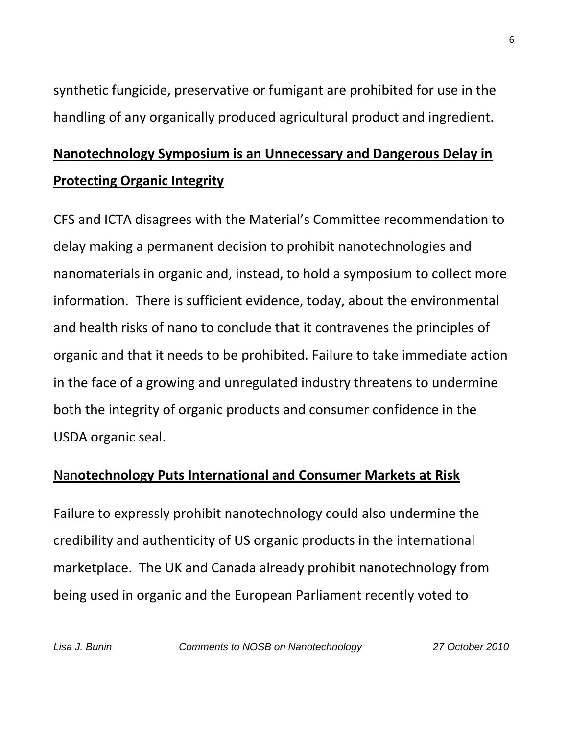synthetic fungicide, preservative or fumigant are prohibited for use in the handling of any organically produced agricultural product and ingredient.

# **Nanotechnology Symposium is an Unnecessary and Dangerous Delay in Protecting Organic Integrity**

CFS and ICTA disagrees with the Material's Committee recommendation to delay making a permanent decision to prohibit nanotechnologies and nanomaterials in organic and, instead, to hold a symposium to collect more information. There is sufficient evidence, today, about the environmental and health risks of nano to conclude that it contravenes the principles of organic and that it needs to be prohibited. Failure to take immediate action in the face of a growing and unregulated industry threatens to undermine both the integrity of organic products and consumer confidence in the USDA organic seal.

## Nan**otechnology Puts International and Consumer Markets at Risk**

Failure to expressly prohibit nanotechnology could also undermine the credibility and authenticity of US organic products in the international marketplace. The UK and Canada already prohibit nanotechnology from being used in organic and the European Parliament recently voted to